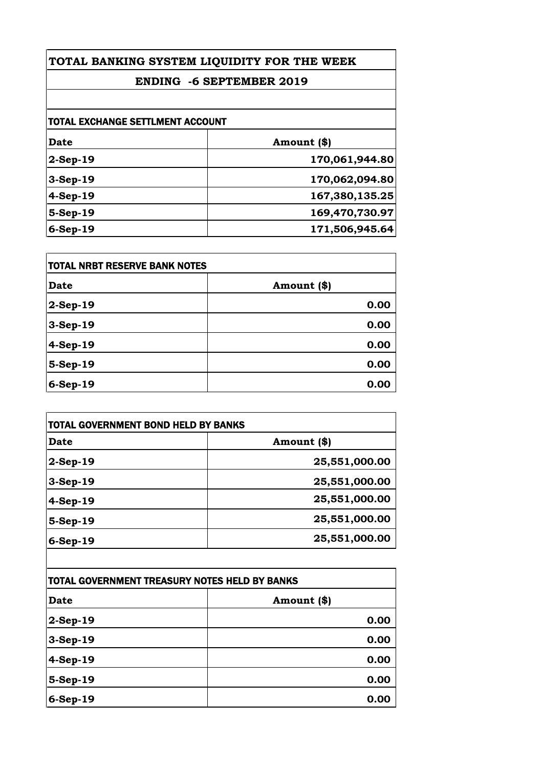## **ENDING -6 SEPTEMBER 2019**

| <b>TOTAL EXCHANGE SETTLMENT ACCOUNT</b> |                |
|-----------------------------------------|----------------|
| Date                                    | Amount (\$)    |
| $2-Sep-19$                              | 170,061,944.80 |
| $3-Sep-19$                              | 170,062,094.80 |
| 4-Sep-19                                | 167,380,135.25 |
| 5-Sep-19                                | 169,470,730.97 |
| $6-Sep-19$                              | 171,506,945.64 |

| <b>TOTAL NRBT RESERVE BANK NOTES</b> |             |
|--------------------------------------|-------------|
| <b>Date</b>                          | Amount (\$) |
| $2-Sep-19$                           | 0.00        |
| 3-Sep-19                             | 0.00        |
| 4-Sep-19                             | 0.00        |
| $5-Sep-19$                           | 0.00        |
| 6-Sep-19                             | 0.00        |

| <b>TOTAL GOVERNMENT BOND HELD BY BANKS</b> |               |
|--------------------------------------------|---------------|
| Date                                       | Amount (\$)   |
| $2-Sep-19$                                 | 25,551,000.00 |
| $3-Sep-19$                                 | 25,551,000.00 |
| $4-Sep-19$                                 | 25,551,000.00 |
| 5-Sep-19                                   | 25,551,000.00 |
| $6-Sep-19$                                 | 25,551,000.00 |

| TOTAL GOVERNMENT TREASURY NOTES HELD BY BANKS |             |
|-----------------------------------------------|-------------|
| <b>Date</b>                                   | Amount (\$) |
| $2-Sep-19$                                    | 0.00        |
| $3-Sep-19$                                    | 0.00        |
| 4-Sep-19                                      | 0.00        |
| $5-Sep-19$                                    | 0.00        |
| 6-Sep-19                                      | 0.00        |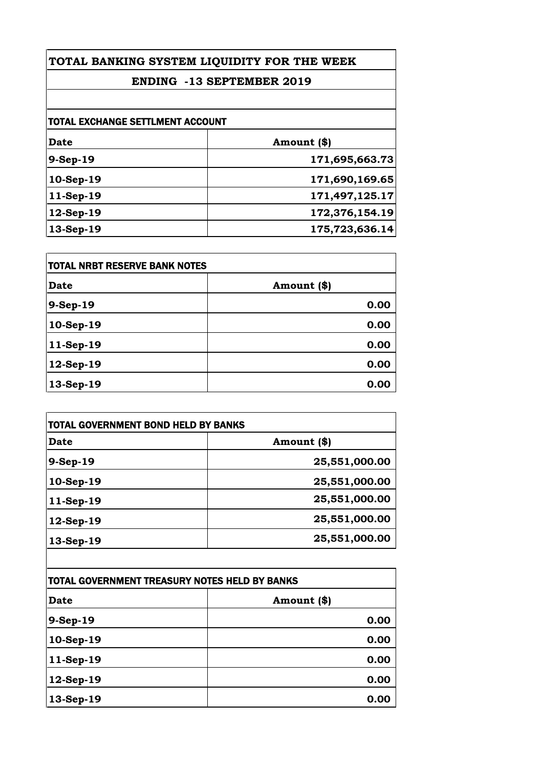## **ENDING -13 SEPTEMBER 2019**

| <b>TOTAL EXCHANGE SETTLMENT ACCOUNT</b> |                |
|-----------------------------------------|----------------|
| Date                                    | Amount (\$)    |
| 9-Sep-19                                | 171,695,663.73 |
| 10-Sep-19                               | 171,690,169.65 |
| 11-Sep-19                               | 171,497,125.17 |
| 12-Sep-19                               | 172,376,154.19 |
| 13-Sep-19                               | 175,723,636.14 |

| <b>TOTAL NRBT RESERVE BANK NOTES</b> |             |
|--------------------------------------|-------------|
| <b>Date</b>                          | Amount (\$) |
| 9-Sep-19                             | 0.00        |
| 10-Sep-19                            | 0.00        |
| 11-Sep-19                            | 0.00        |
| $12-Sep-19$                          | 0.00        |
| 13-Sep-19                            | 0.00        |

| <b>TOTAL GOVERNMENT BOND HELD BY BANKS</b> |               |
|--------------------------------------------|---------------|
| Date                                       | Amount (\$)   |
| 9-Sep-19                                   | 25,551,000.00 |
| 10-Sep-19                                  | 25,551,000.00 |
| 11-Sep-19                                  | 25,551,000.00 |
| $12$ -Sep-19                               | 25,551,000.00 |
| 13-Sep-19                                  | 25,551,000.00 |
|                                            |               |

| TOTAL GOVERNMENT TREASURY NOTES HELD BY BANKS |             |
|-----------------------------------------------|-------------|
| Date                                          | Amount (\$) |
| 9-Sep-19                                      | 0.00        |
| 10-Sep-19                                     | 0.00        |
| 11-Sep-19                                     | 0.00        |
| 12-Sep-19                                     | 0.00        |
| 13-Sep-19                                     | 0.00        |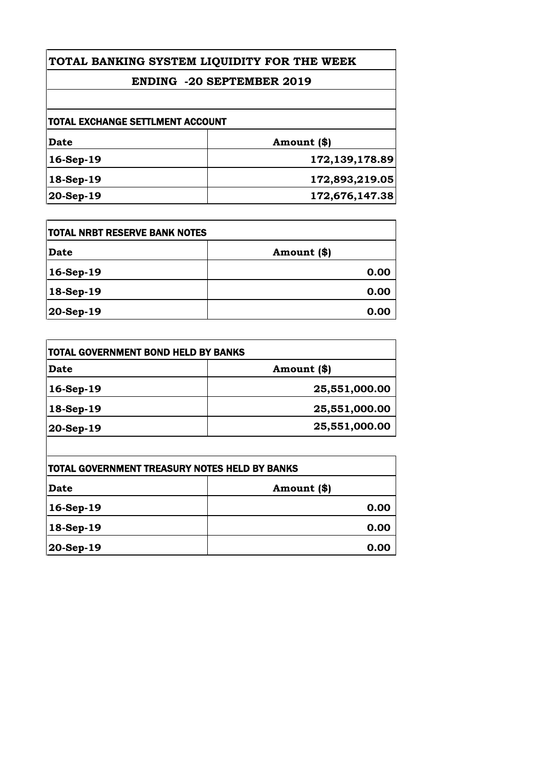## **ENDING -20 SEPTEMBER 2019**

| itotal exchange settlment account |                |
|-----------------------------------|----------------|
| Date                              | Amount (\$)    |
| $16$ -Sep-19                      | 172,139,178.89 |
| 18-Sep-19                         | 172,893,219.05 |
| 20-Sep-19                         | 172,676,147.38 |

| <b>ITOTAL NRBT RESERVE BANK NOTES</b> |             |
|---------------------------------------|-------------|
| <b>Date</b>                           | Amount (\$) |
| 16-Sep-19                             | 0.00        |
| 18-Sep-19                             | 0.00        |
| $ 20 - \text{Sep-19} $                | 0.00        |

| TOTAL GOVERNMENT BOND HELD BY BANKS |               |
|-------------------------------------|---------------|
| Date                                | Amount (\$)   |
| $16-Sep-19$                         | 25,551,000.00 |
| 18-Sep-19                           | 25,551,000.00 |
| 20-Sep-19                           | 25,551,000.00 |
|                                     |               |

 $\mathsf{l}$ 

| TOTAL GOVERNMENT TREASURY NOTES HELD BY BANKS |             |
|-----------------------------------------------|-------------|
| Date                                          | Amount (\$) |
| $16-Sep-19$                                   | 0.00        |
| $18-Sep-19$                                   | 0.00        |
| $ 20 - \text{Sep-19} $                        | 0.00        |